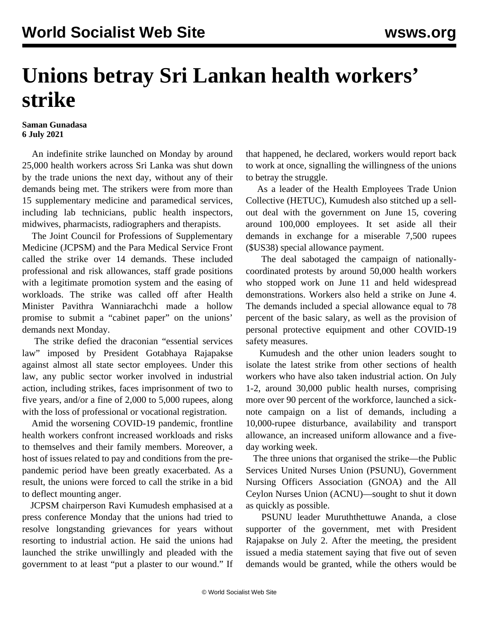## **Unions betray Sri Lankan health workers' strike**

## **Saman Gunadasa 6 July 2021**

 An indefinite strike launched on Monday by around 25,000 health workers across Sri Lanka was shut down by the trade unions the next day, without any of their demands being met. The strikers were from more than 15 supplementary medicine and paramedical services, including lab technicians, public health inspectors, midwives, pharmacists, radiographers and therapists.

 The Joint Council for Professions of Supplementary Medicine (JCPSM) and the Para Medical Service Front called the strike over 14 demands. These included professional and risk allowances, staff grade positions with a legitimate promotion system and the easing of workloads. The strike was called off after Health Minister Pavithra Wanniarachchi made a hollow promise to submit a "cabinet paper" on the unions' demands next Monday.

 The strike defied the draconian "essential services law" imposed by President Gotabhaya Rajapakse against almost all state sector employees. Under this law, any public sector worker involved in industrial action, including strikes, faces imprisonment of two to five years, and/or a fine of 2,000 to 5,000 rupees, along with the loss of professional or vocational registration.

 Amid the worsening COVID-19 pandemic, frontline health workers confront increased workloads and risks to themselves and their family members. Moreover, a host of issues related to pay and conditions from the prepandemic period have been greatly exacerbated. As a result, the unions were forced to call the strike in a bid to deflect mounting anger.

 JCPSM chairperson Ravi Kumudesh emphasised at a press conference Monday that the unions had tried to resolve longstanding grievances for years without resorting to industrial action. He said the unions had launched the strike unwillingly and pleaded with the government to at least "put a plaster to our wound." If that happened, he declared, workers would report back to work at once, signalling the willingness of the unions to betray the struggle.

 As a leader of the Health Employees Trade Union Collective (HETUC), Kumudesh also stitched up a sellout deal with the government on June 15, covering around 100,000 employees. It set aside all their demands in exchange for a miserable 7,500 rupees (\$US38) special allowance payment.

 The deal sabotaged the campaign of nationallycoordinated protests by around 50,000 health workers who stopped work on June 11 and held widespread demonstrations. Workers also held a strike on June 4. The demands included a special allowance equal to 78 percent of the basic salary, as well as the provision of personal protective equipment and other COVID-19 safety measures.

 Kumudesh and the other union leaders sought to isolate the latest strike from other sections of health workers who have also taken industrial action. On July 1-2, around 30,000 public health nurses, comprising more over 90 percent of the workforce, launched a sicknote campaign on a list of demands, including a 10,000-rupee disturbance, availability and transport allowance, an increased uniform allowance and a fiveday working week.

 The three unions that organised the strike—the Public Services United Nurses Union (PSUNU), Government Nursing Officers Association (GNOA) and the All Ceylon Nurses Union (ACNU)—sought to shut it down as quickly as possible.

 PSUNU leader Muruththettuwe Ananda, a close supporter of the government, met with President Rajapakse on July 2. After the meeting, the president issued a media statement saying that five out of seven demands would be granted, while the others would be